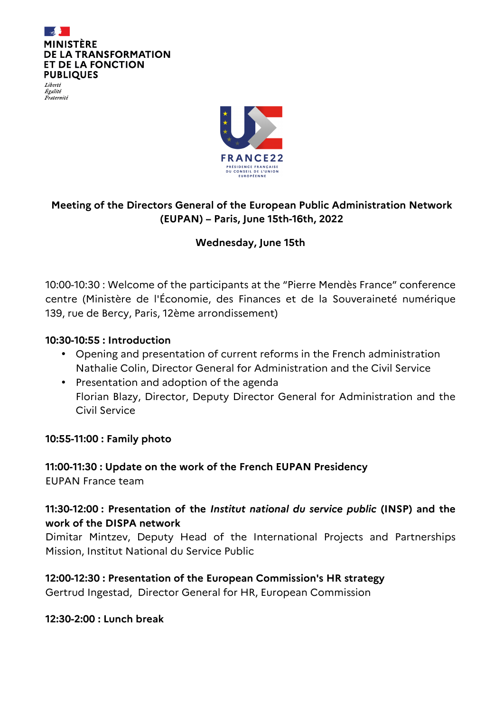

Liberté Égalité Fraternité



# **Meeting of the Directors General of the European Public Administration Network (EUPAN) – Paris, June 15th-16th, 2022**

## **Wednesday, June 15th**

10:00-10:30 : Welcome of the participants at the "Pierre Mendès France" conference centre (Ministère de l'Économie, des Finances et de la Souveraineté numérique 139, rue de Bercy, Paris, 12ème arrondissement)

### **10:30-10:55 : Introduction**

- Opening and presentation of current reforms in the French administration Nathalie Colin, Director General for Administration and the Civil Service
- Presentation and adoption of the agenda Florian Blazy, Director, Deputy Director General for Administration and the Civil Service

### **10:55-11:00 : Family photo**

**11:00-11:30 : Update on the work of the French EUPAN Presidency**  EUPAN France team

# **11:30-12:00 : Presentation of the** *Institut national du service public* **(INSP) and the work of the DISPA network**

Dimitar Mintzev, Deputy Head of the International Projects and Partnerships Mission, Institut National du Service Public

**12:00-12:30 : Presentation of the European Commission's HR strategy**  Gertrud Ingestad, Director General for HR, European Commission

### **12:30-2:00 : Lunch break**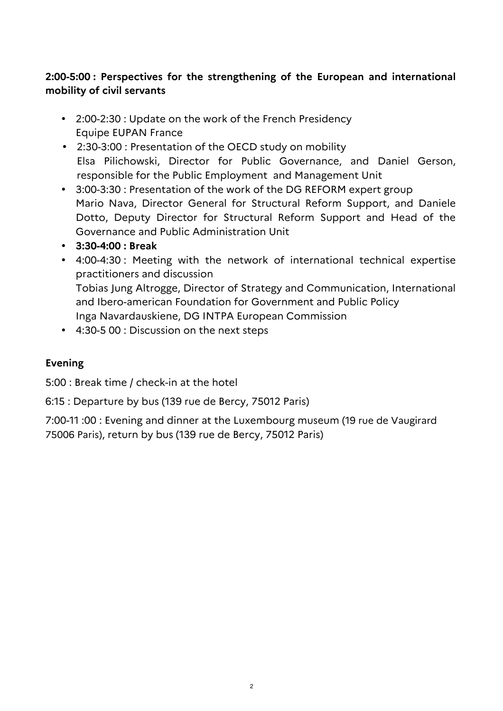# **2:00-5:00 : Perspectives for the strengthening of the European and international mobility of civil servants**

- 2:00-2:30 : Update on the work of the French Presidency Equipe EUPAN France
- 2:30-3:00 : Presentation of the OECD study on mobility Elsa Pilichowski, Director for Public Governance, and Daniel Gerson, responsible for the Public Employment and Management Unit
- 3:00-3:30 : Presentation of the work of the DG REFORM expert group Mario Nava, Director General for Structural Reform Support, and Daniele Dotto, Deputy Director for Structural Reform Support and Head of the Governance and Public Administration Unit
- **3:30-4:00 : Break**
- 4:00-4:30 : Meeting with the network of international technical expertise practitioners and discussion Tobias Jung Altrogge, Director of Strategy and Communication, International and Ibero-american Foundation for Government and Public Policy Inga Navardauskiene, DG INTPA European Commission
- 4:30-5 00 : Discussion on the next steps

## **Evening**

5:00 : Break time / check-in at the hotel

6:15 : Departure by bus (139 rue de Bercy, 75012 Paris)

7:00-11 :00 : Evening and dinner at the Luxembourg museum (19 rue de Vaugirard 75006 Paris), return by bus (139 rue de Bercy, 75012 Paris)